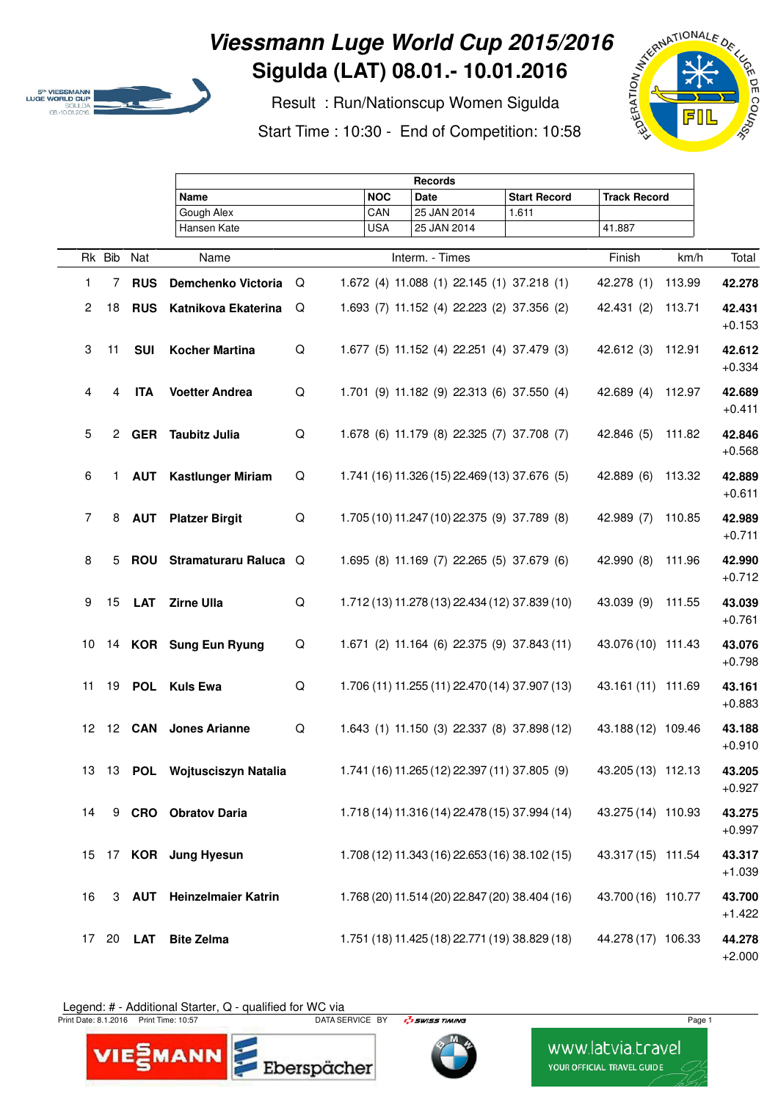

## **Viessmann Luge World Cup 2015/2016 Sigulda (LAT) 08.01.- 10.01.2016**

 Result : Run/Nationscup Women Sigulda Start Time : 10:30 - End of Competition: 10:58



|   |        |    |               | <b>Records</b>              |   |            |                                                |                     |                     |        |                    |
|---|--------|----|---------------|-----------------------------|---|------------|------------------------------------------------|---------------------|---------------------|--------|--------------------|
|   |        |    |               | Name                        |   | <b>NOC</b> | Date                                           | <b>Start Record</b> | <b>Track Record</b> |        |                    |
|   |        |    |               | Gough Alex                  |   | CAN        | 25 JAN 2014                                    | 1.611               |                     |        |                    |
|   |        |    |               | Hansen Kate                 |   | <b>USA</b> | 25 JAN 2014                                    |                     | 41.887              |        |                    |
|   | Rk Bib |    | Nat           | Name                        |   |            | Interm. - Times                                |                     | Finish              | km/h   | Total              |
|   | 1      | 7  | <b>RUS</b>    | Demchenko Victoria          | Q |            | 1.672 (4) 11.088 (1) 22.145 (1) 37.218 (1)     |                     | 42.278 (1)          | 113.99 | 42.278             |
|   | 2      | 18 | <b>RUS</b>    | Katnikova Ekaterina         | Q |            | 1.693 (7) 11.152 (4) 22.223 (2) 37.356 (2)     |                     | 42.431 (2)          | 113.71 | 42.431<br>$+0.153$ |
|   | 3      | 11 | <b>SUI</b>    | <b>Kocher Martina</b>       | Q |            | 1.677 (5) 11.152 (4) 22.251 (4) 37.479 (3)     |                     | 42.612(3)           | 112.91 | 42.612<br>$+0.334$ |
|   | 4      | 4  | <b>ITA</b>    | <b>Voetter Andrea</b>       | Q |            | 1.701 (9) 11.182 (9) 22.313 (6) 37.550 (4)     |                     | 42.689 (4)          | 112.97 | 42.689<br>$+0.411$ |
|   | 5      |    |               | 2 GER Taubitz Julia         | Q |            | 1.678 (6) 11.179 (8) 22.325 (7) 37.708 (7)     |                     | 42.846 (5)          | 111.82 | 42.846<br>$+0.568$ |
| 6 |        |    |               | 1 AUT Kastlunger Miriam     | Q |            | 1.741 (16) 11.326 (15) 22.469 (13) 37.676 (5)  |                     | 42.889 (6)          | 113.32 | 42.889<br>$+0.611$ |
|   | 7      | 8  |               | <b>AUT</b> Platzer Birgit   | Q |            | 1.705 (10) 11.247 (10) 22.375 (9) 37.789 (8)   |                     | 42.989 (7)          | 110.85 | 42.989<br>$+0.711$ |
| 8 |        |    |               | 5 ROU Stramaturaru Raluca Q |   |            | 1.695 (8) 11.169 (7) 22.265 (5) 37.679 (6)     |                     | 42.990 (8)          | 111.96 | 42.990<br>$+0.712$ |
|   | 9      |    |               | 15 LAT Zirne Ulla           | Q |            | 1.712 (13) 11.278 (13) 22.434 (12) 37.839 (10) |                     | 43.039 (9)          | 111.55 | 43.039<br>$+0.761$ |
|   | 10     |    |               | 14 KOR Sung Eun Ryung       | Q |            | 1.671 (2) 11.164 (6) 22.375 (9) 37.843 (11)    |                     | 43.076 (10) 111.43  |        | 43.076<br>$+0.798$ |
|   | 11     |    |               | 19 POL Kuls Ewa             | Q |            | 1.706 (11) 11.255 (11) 22.470 (14) 37.907 (13) |                     | 43.161 (11) 111.69  |        | 43.161<br>$+0.883$ |
|   | 12     |    |               | 12 CAN Jones Arianne        | Q |            | 1.643 (1) 11.150 (3) 22.337 (8) 37.898 (12)    |                     | 43.188 (12) 109.46  |        | 43.188<br>$+0.910$ |
|   | 13     |    |               | 13 POL Wojtusciszyn Natalia |   |            | 1.741 (16) 11.265 (12) 22.397 (11) 37.805 (9)  |                     | 43.205 (13) 112.13  |        | 43.205<br>$+0.927$ |
|   | 14     |    |               | 9 CRO Obratov Daria         |   |            | 1.718 (14) 11.316 (14) 22.478 (15) 37.994 (14) |                     | 43.275 (14) 110.93  |        | 43.275<br>$+0.997$ |
|   | 15     |    |               | 17 KOR Jung Hyesun          |   |            | 1.708 (12) 11.343 (16) 22.653 (16) 38.102 (15) |                     | 43.317 (15) 111.54  |        | 43.317<br>$+1.039$ |
|   | 16     |    |               | 3 AUT Heinzelmaier Katrin   |   |            | 1.768 (20) 11.514 (20) 22.847 (20) 38.404 (16) |                     | 43.700 (16) 110.77  |        | 43.700<br>$+1.422$ |
|   | 17     |    | 20 <b>LAT</b> | <b>Bite Zelma</b>           |   |            | 1.751 (18) 11.425 (18) 22.771 (19) 38.829 (18) |                     | 44.278 (17) 106.33  |        | 44.278<br>$+2.000$ |

Legend: # - Additional Starter, Q - qualified for WC via

VIE EMANN

rint D

Print Date: 8.1.2016 Print Time: 10:57 National Company of DATA SERVICE BY Page 1 National Company of Page 1

Eberspächer



www.latvia.travel YOUR OFFICIAL TRAVEL GUIDE